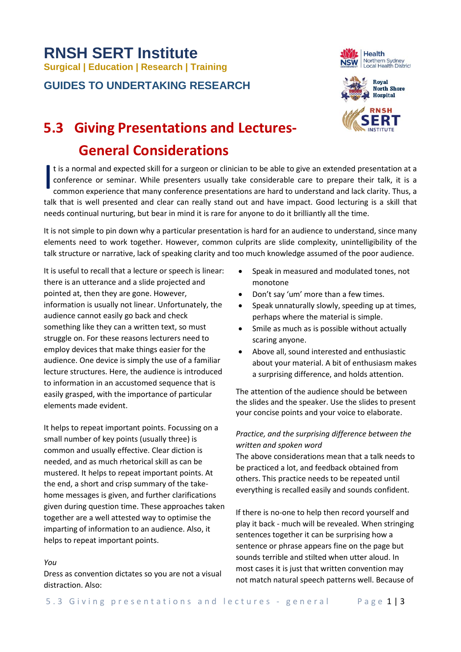# **RNSH SERT Institute Surgical | Education | Research | Training**

**GUIDES TO UNDERTAKING RESEARCH**





## **5.3 Giving Presentations and Lectures-**

### **General Considerations**

t is a normal and expected skill for a surgeon or clinician to be able to give an extended presentation at a conference or seminar. While presenters usually take considerable care to prepare their talk, it is a common experience that many conference presentations are hard to understand and lack clarity. Thus, a talk that is well presented and clear can really stand out and have impact. Good lecturing is a skill that needs continual nurturing, but bear in mind it is rare for anyone to do it brilliantly all the time. I

It is not simple to pin down why a particular presentation is hard for an audience to understand, since many elements need to work together. However, common culprits are slide complexity, unintelligibility of the talk structure or narrative, lack of speaking clarity and too much knowledge assumed of the poor audience.

It is useful to recall that a lecture or speech is linear: there is an utterance and a slide projected and pointed at, then they are gone. However, information is usually not linear. Unfortunately, the audience cannot easily go back and check something like they can a written text, so must struggle on. For these reasons lecturers need to employ devices that make things easier for the audience. One device is simply the use of a familiar lecture structures. Here, the audience is introduced to information in an accustomed sequence that is easily grasped, with the importance of particular elements made evident.

It helps to repeat important points. Focussing on a small number of key points (usually three) is common and usually effective. Clear diction is needed, and as much rhetorical skill as can be mustered. It helps to repeat important points. At the end, a short and crisp summary of the takehome messages is given, and further clarifications given during question time. These approaches taken together are a well attested way to optimise the imparting of information to an audience. Also, it helps to repeat important points.

#### *You*

Dress as convention dictates so you are not a visual distraction. Also:

- Speak in measured and modulated tones, not monotone
- Don't say 'um' more than a few times.
- Speak unnaturally slowly, speeding up at times, perhaps where the material is simple.
- Smile as much as is possible without actually scaring anyone.
- Above all, sound interested and enthusiastic about your material. A bit of enthusiasm makes a surprising difference, and holds attention.

The attention of the audience should be between the slides and the speaker. Use the slides to present your concise points and your voice to elaborate.

#### *Practice, and the surprising difference between the written and spoken word*

The above considerations mean that a talk needs to be practiced a lot, and feedback obtained from others. This practice needs to be repeated until everything is recalled easily and sounds confident.

If there is no-one to help then record yourself and play it back - much will be revealed. When stringing sentences together it can be surprising how a sentence or phrase appears fine on the page but sounds terrible and stilted when utter aloud. In most cases it is just that written convention may not match natural speech patterns well. Because of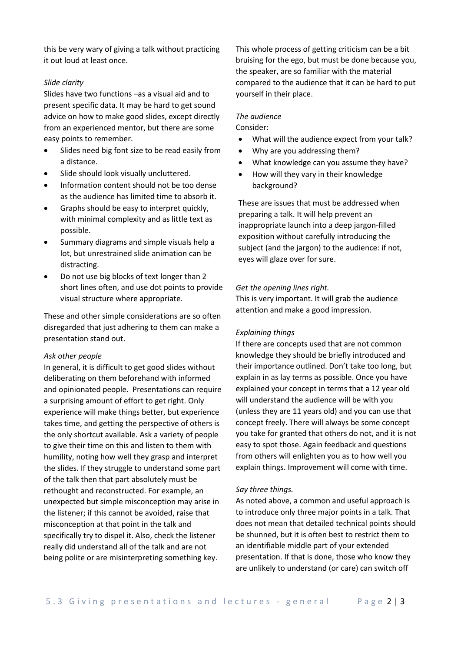this be very wary of giving a talk without practicing it out loud at least once.

#### *Slide clarity*

Slides have two functions –as a visual aid and to present specific data. It may be hard to get sound advice on how to make good slides, except directly from an experienced mentor, but there are some easy points to remember.

- Slides need big font size to be read easily from a distance.
- Slide should look visually uncluttered.
- Information content should not be too dense as the audience has limited time to absorb it.
- Graphs should be easy to interpret quickly, with minimal complexity and as little text as possible.
- Summary diagrams and simple visuals help a lot, but unrestrained slide animation can be distracting.
- Do not use big blocks of text longer than 2 short lines often, and use dot points to provide visual structure where appropriate.

These and other simple considerations are so often disregarded that just adhering to them can make a presentation stand out.

#### *Ask other people*

In general, it is difficult to get good slides without deliberating on them beforehand with informed and opinionated people. Presentations can require a surprising amount of effort to get right. Only experience will make things better, but experience takes time, and getting the perspective of others is the only shortcut available. Ask a variety of people to give their time on this and listen to them with humility, noting how well they grasp and interpret the slides. If they struggle to understand some part of the talk then that part absolutely must be rethought and reconstructed. For example, an unexpected but simple misconception may arise in the listener; if this cannot be avoided, raise that misconception at that point in the talk and specifically try to dispel it. Also, check the listener really did understand all of the talk and are not being polite or are misinterpreting something key.

This whole process of getting criticism can be a bit bruising for the ego, but must be done because you, the speaker, are so familiar with the material compared to the audience that it can be hard to put yourself in their place.

#### *The audience*

#### Consider:

- What will the audience expect from your talk?
- Why are you addressing them?
- What knowledge can you assume they have?
- How will they vary in their knowledge background?

These are issues that must be addressed when preparing a talk. It will help prevent an inappropriate launch into a deep jargon-filled exposition without carefully introducing the subject (and the jargon) to the audience: if not, eyes will glaze over for sure.

#### *Get the opening lines right.*

This is very important. It will grab the audience attention and make a good impression.

#### *Explaining things*

If there are concepts used that are not common knowledge they should be briefly introduced and their importance outlined. Don't take too long, but explain in as lay terms as possible. Once you have explained your concept in terms that a 12 year old will understand the audience will be with you (unless they are 11 years old) and you can use that concept freely. There will always be some concept you take for granted that others do not, and it is not easy to spot those. Again feedback and questions from others will enlighten you as to how well you explain things. Improvement will come with time.

#### *Say three things.*

As noted above, a common and useful approach is to introduce only three major points in a talk. That does not mean that detailed technical points should be shunned, but it is often best to restrict them to an identifiable middle part of your extended presentation. If that is done, those who know they are unlikely to understand (or care) can switch off